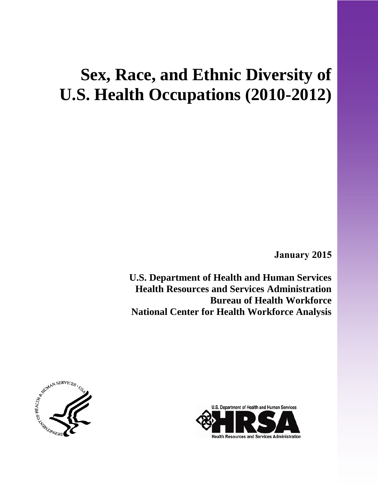# **Sex, Race, and Ethnic Diversity of U.S. Health Occupations (2010-2012)**

 **January 2015**

**U.S. Department of Health and Human Services Health Resources and Services Administration Bureau of Health Workforce National Center for Health Workforce Analysis** 



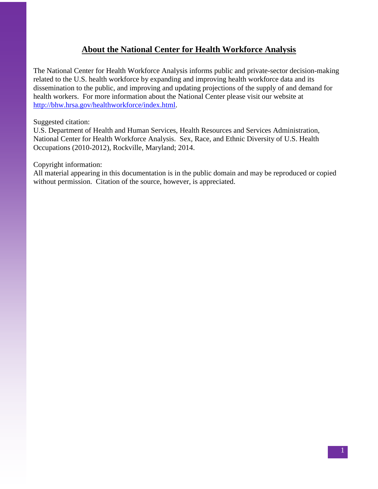# **About the National Center for Health Workforce Analysis**

The National Center for Health Workforce Analysis informs public and private-sector decision-making related to the U.S. health workforce by expanding and improving health workforce data and its dissemination to the public, and improving and updating projections of the supply of and demand for health workers. For more information about the National Center please visit our website at [http://bhw.hrsa.gov/healthworkforce/index.html.](http://bhw.hrsa.gov/healthworkforce/index.html)

Suggested citation:

U.S. Department of Health and Human Services, Health Resources and Services Administration, National Center for Health Workforce Analysis. Sex, Race, and Ethnic Diversity of U.S. Health Occupations (2010-2012), Rockville, Maryland; 2014.

Copyright information:

All material appearing in this documentation is in the public domain and may be reproduced or copied without permission. Citation of the source, however, is appreciated.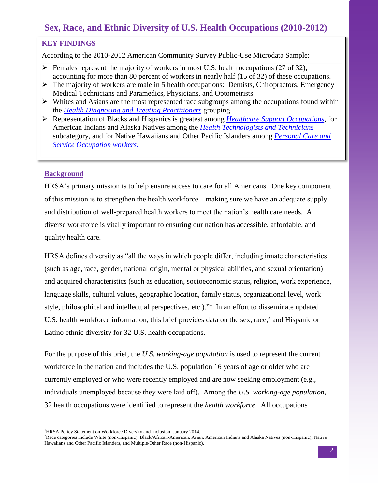# **Sex, Race, and Ethnic Diversity of U.S. Health Occupations (2010-2012)**

## **KEY FINDINGS**

According to the 2010-2012 American Community Survey Public-Use Microdata Sample:

- $\triangleright$  Females represent the majority of workers in most U.S. health occupations (27 of 32), accounting for more than 80 percent of workers in nearly half (15 of 32) of these occupations.
- $\triangleright$  The majority of workers are male in 5 health occupations: Dentists, Chiropractors, Emergency Medical Technicians and Paramedics, Physicians, and Optometrists.
- $\triangleright$  Whites and Asians are the most represented race subgroups among the occupations found within the *[Health Diagnosing and Treating Practitioner](#page-7-0)*s grouping.
- Representation of Blacks and Hispanics is greatest among *[Healthcare Support Occupations,](#page-7-1)* for American Indians and Alaska Natives among the *[Health Technologists and Technicians](#page-7-2)* subcategory, and for Native Hawaiians and Other Pacific Islanders among *[Personal Care and](#page-7-3)  [Service Occupation](#page-7-3) workers.*

# **Background**

 $\overline{a}$ 

HRSA's primary mission is to help ensure access to care for all Americans. One key component of this mission is to strengthen the health workforce—making sure we have an adequate supply and distribution of well-prepared health workers to meet the nation's health care needs. A diverse workforce is vitally important to ensuring our nation has accessible, affordable, and quality health care.

HRSA defines diversity as "all the ways in which people differ, including innate characteristics (such as age, race, gender, national origin, mental or physical abilities, and sexual orientation) and acquired characteristics (such as education, socioeconomic status, religion, work experience, language skills, cultural values, geographic location, family status, organizational level, work style, philosophical and intellectual perspectives, etc.).<sup> $n<sup>1</sup>$ </sup> In an effort to disseminate updated U.S. health workforce information, this brief provides data on the sex, race, $2$  and Hispanic or Latino ethnic diversity for 32 U.S. health occupations.

For the purpose of this brief, the *U.S. working-age population* is used to represent the current workforce in the nation and includes the U.S. population 16 years of age or older who are currently employed or who were recently employed and are now seeking employment (e.g., individuals unemployed because they were laid off). Among the *U.S. working-age population*, 32 health occupations were identified to represent the *health workforce*. All occupations

<sup>&</sup>lt;sup>1</sup>HRSA Policy Statement on Workforce Diversity and Inclusion, January 2014.

<sup>2</sup>Race categories include White (non-Hispanic), Black/African-American, Asian, American Indians and Alaska Natives (non-Hispanic), Native Hawaiians and Other Pacific Islanders, and Multiple/Other Race (non-Hispanic).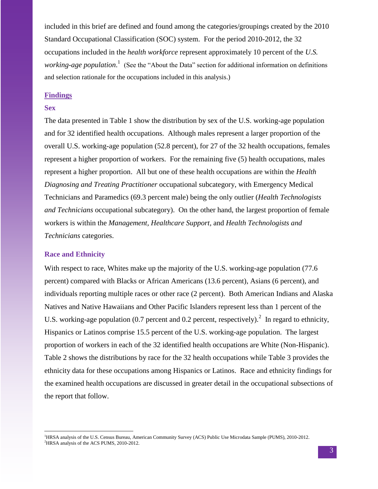included in this brief are defined and found among the categories/groupings created by the 2010 Standard Occupational Classification (SOC) system. For the period 2010-2012, the 32 occupations included in the *health workforce* represent approximately 10 percent of the *U.S. working-age population.*<sup>1</sup> (See the "About the Data" section for additional information on definitions and selection rationale for the occupations included in this analysis.)

## **Findings**

#### **Sex**

The data presented in Table 1 show the distribution by sex of the U.S. working-age population and for 32 identified health occupations. Although males represent a larger proportion of the overall U.S. working-age population (52.8 percent), for 27 of the 32 health occupations, females represent a higher proportion of workers. For the remaining five (5) health occupations, males represent a higher proportion. All but one of these health occupations are within the *Health Diagnosing and Treating Practitioner* occupational subcategory, with Emergency Medical Technicians and Paramedics (69.3 percent male) being the only outlier (*Health Technologists and Technicians* occupational subcategory). On the other hand, the largest proportion of female workers is within the *Management, Healthcare Support,* and *Health Technologists and Technicians* categories.

#### **Race and Ethnicity**

 $\overline{a}$ 

With respect to race, Whites make up the majority of the U.S. working-age population (77.6) percent) compared with Blacks or African Americans (13.6 percent), Asians (6 percent), and individuals reporting multiple races or other race (2 percent). Both American Indians and Alaska Natives and Native Hawaiians and Other Pacific Islanders represent less than 1 percent of the U.S. working-age population (0.7 percent and 0.2 percent, respectively).<sup>2</sup> In regard to ethnicity, Hispanics or Latinos comprise 15.5 percent of the U.S. working-age population. The largest proportion of workers in each of the 32 identified health occupations are White (Non-Hispanic). Table 2 shows the distributions by race for the 32 health occupations while Table 3 provides the ethnicity data for these occupations among Hispanics or Latinos. Race and ethnicity findings for the examined health occupations are discussed in greater detail in the occupational subsections of the report that follow.

<sup>&</sup>lt;sup>1</sup>HRSA analysis of the U.S. Census Bureau, American Community Survey (ACS) Public Use Microdata Sample (PUMS), 2010-2012. <sup>2</sup>HRSA analysis of the ACS PUMS, 2010-2012.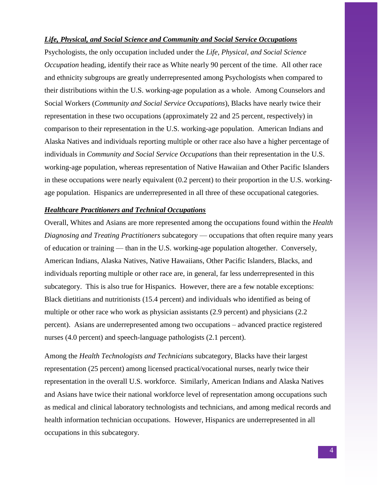#### *Life, Physical, and Social Science and Community and Social Service Occupations*

Psychologists, the only occupation included under the *Life, Physical, and Social Science Occupation* heading, identify their race as White nearly 90 percent of the time. All other race and ethnicity subgroups are greatly underrepresented among Psychologists when compared to their distributions within the U.S. working-age population as a whole. Among Counselors and Social Workers (*Community and Social Service Occupations*), Blacks have nearly twice their representation in these two occupations (approximately 22 and 25 percent, respectively) in comparison to their representation in the U.S. working-age population. American Indians and Alaska Natives and individuals reporting multiple or other race also have a higher percentage of individuals in *Community and Social Service Occupations* than their representation in the U.S. working-age population, whereas representation of Native Hawaiian and Other Pacific Islanders in these occupations were nearly equivalent (0.2 percent) to their proportion in the U.S. workingage population. Hispanics are underrepresented in all three of these occupational categories.

#### *Healthcare Practitioners and Technical Occupations*

Overall, Whites and Asians are more represented among the occupations found within the *Health Diagnosing and Treating Practitioners* subcategory — occupations that often require many years of education or training — than in the U.S. working-age population altogether. Conversely, American Indians, Alaska Natives, Native Hawaiians, Other Pacific Islanders, Blacks, and individuals reporting multiple or other race are, in general, far less underrepresented in this subcategory. This is also true for Hispanics. However, there are a few notable exceptions: Black dietitians and nutritionists (15.4 percent) and individuals who identified as being of multiple or other race who work as physician assistants (2.9 percent) and physicians (2.2 percent). Asians are underrepresented among two occupations – advanced practice registered nurses (4.0 percent) and speech-language pathologists (2.1 percent).

Among the *Health Technologists and Technicians* subcategory, Blacks have their largest representation (25 percent) among licensed practical/vocational nurses, nearly twice their representation in the overall U.S. workforce. Similarly, American Indians and Alaska Natives and Asians have twice their national workforce level of representation among occupations such as medical and clinical laboratory technologists and technicians, and among medical records and health information technician occupations. However, Hispanics are underrepresented in all occupations in this subcategory.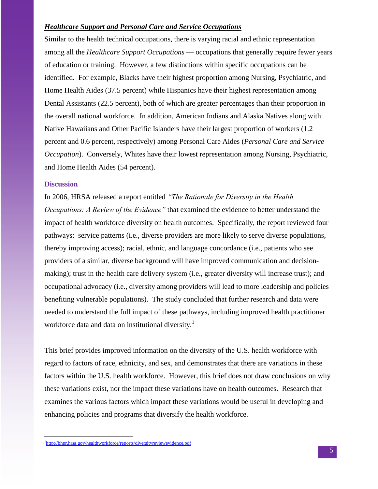## *Healthcare Support and Personal Care and Service Occupations*

Similar to the health technical occupations, there is varying racial and ethnic representation among all the *Healthcare Support Occupations* — occupations that generally require fewer years of education or training. However, a few distinctions within specific occupations can be identified. For example, Blacks have their highest proportion among Nursing, Psychiatric, and Home Health Aides (37.5 percent) while Hispanics have their highest representation among Dental Assistants (22.5 percent), both of which are greater percentages than their proportion in the overall national workforce. In addition, American Indians and Alaska Natives along with Native Hawaiians and Other Pacific Islanders have their largest proportion of workers (1.2 percent and 0.6 percent, respectively) among Personal Care Aides (*Personal Care and Service Occupation*). Conversely, Whites have their lowest representation among Nursing, Psychiatric, and Home Health Aides (54 percent).

#### **Discussion**

 $\overline{a}$ 

In 2006, HRSA released a report entitled *"The Rationale for Diversity in the Health Occupations: A Review of the Evidence"* that examined the evidence to better understand the impact of health workforce diversity on health outcomes. Specifically, the report reviewed four pathways: service patterns (i.e., diverse providers are more likely to serve diverse populations, thereby improving access); racial, ethnic, and language concordance (i.e., patients who see providers of a similar, diverse background will have improved communication and decisionmaking); trust in the health care delivery system (i.e., greater diversity will increase trust); and occupational advocacy (i.e., diversity among providers will lead to more leadership and policies benefiting vulnerable populations). The study concluded that further research and data were needed to understand the full impact of these pathways, including improved health practitioner workforce data and data on institutional diversity.<sup>1</sup>

This brief provides improved information on the diversity of the U.S. health workforce with regard to factors of race, ethnicity, and sex, and demonstrates that there are variations in these factors within the U.S. health workforce. However, this brief does not draw conclusions on why these variations exist, nor the impact these variations have on health outcomes. Research that examines the various factors which impact these variations would be useful in developing and enhancing policies and programs that diversify the health workforce.

<sup>&</sup>lt;sup>1</sup><http://bhpr.hrsa.gov/healthworkforce/reports/diversityreviewevidence.pdf>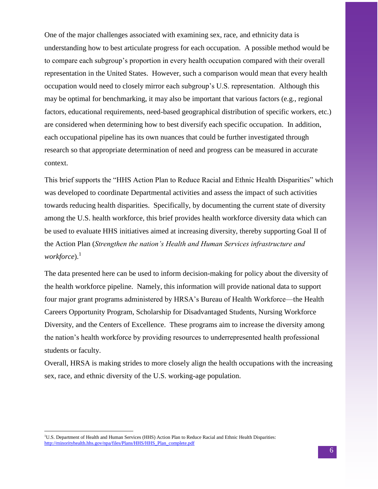One of the major challenges associated with examining sex, race, and ethnicity data is understanding how to best articulate progress for each occupation. A possible method would be to compare each subgroup's proportion in every health occupation compared with their overall representation in the United States. However, such a comparison would mean that every health occupation would need to closely mirror each subgroup's U.S. representation. Although this may be optimal for benchmarking, it may also be important that various factors (e.g., regional factors, educational requirements, need-based geographical distribution of specific workers, etc.) are considered when determining how to best diversify each specific occupation. In addition, each occupational pipeline has its own nuances that could be further investigated through research so that appropriate determination of need and progress can be measured in accurate context.

This brief supports the "HHS Action Plan to Reduce Racial and Ethnic Health Disparities" which was developed to coordinate Departmental activities and assess the impact of such activities towards reducing health disparities. Specifically, by documenting the current state of diversity among the U.S. health workforce, this brief provides health workforce diversity data which can be used to evaluate HHS initiatives aimed at increasing diversity, thereby supporting Goal II of the Action Plan (*Strengthen the nation's Health and Human Services infrastructure and workforce*). 1

The data presented here can be used to inform decision-making for policy about the diversity of the health workforce pipeline. Namely, this information will provide national data to support four major grant programs administered by HRSA's Bureau of Health Workforce—the Health Careers Opportunity Program, Scholarship for Disadvantaged Students, Nursing Workforce Diversity, and the Centers of Excellence. These programs aim to increase the diversity among the nation's health workforce by providing resources to underrepresented health professional students or faculty.

Overall, HRSA is making strides to more closely align the health occupations with the increasing sex, race, and ethnic diversity of the U.S. working-age population.

 $\overline{a}$ 

<sup>&</sup>lt;sup>1</sup>U.S. Department of Health and Human Services (HHS) Action Plan to Reduce Racial and Ethnic Health Disparities: [http://minorityhealth.hhs.gov/npa/files/Plans/HHS/HHS\\_Plan\\_complete.pdf](http://minorityhealth.hhs.gov/npa/files/Plans/HHS/HHS_Plan_complete.pdf)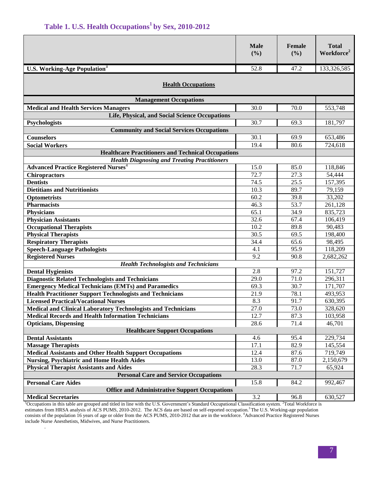|  |  | Table 1. U.S. Health Occupations <sup>1</sup> by Sex, 2010-2012 |  |  |  |
|--|--|-----------------------------------------------------------------|--|--|--|
|--|--|-----------------------------------------------------------------|--|--|--|

<span id="page-7-0"></span>

|                                                                      | <b>Male</b><br>(%) | Female<br>(%) | <b>Total</b><br>Workforce <sup>2</sup> |  |  |  |
|----------------------------------------------------------------------|--------------------|---------------|----------------------------------------|--|--|--|
| <b>U.S. Working-Age Population</b> <sup>3</sup>                      | 52.8               | 47.2          | 133,326,585                            |  |  |  |
| <b>Health Occupations</b>                                            |                    |               |                                        |  |  |  |
| <b>Management Occupations</b>                                        |                    |               |                                        |  |  |  |
| <b>Medical and Health Services Managers</b>                          | 30.0               | 70.0          | 553,748                                |  |  |  |
| Life, Physical, and Social Science Occupations                       |                    |               |                                        |  |  |  |
| Psychologists                                                        | 30.7               | 69.3          | 181,797                                |  |  |  |
| <b>Community and Social Services Occupations</b>                     |                    |               |                                        |  |  |  |
| <b>Counselors</b>                                                    | 30.1               | 69.9          | 653,486                                |  |  |  |
| <b>Social Workers</b>                                                | 19.4               | 80.6          | 724,618                                |  |  |  |
| <b>Healthcare Practitioners and Technical Occupations</b>            |                    |               |                                        |  |  |  |
| <b>Health Diagnosing and Treating Practitioners</b>                  |                    |               |                                        |  |  |  |
| <b>Advanced Practice Registered Nurses<sup>4</sup></b>               | 15.0               | 85.0          | 118,846                                |  |  |  |
| <b>Chiropractors</b>                                                 | 72.7               | 27.3<br>25.5  | 54,444                                 |  |  |  |
| <b>Dentists</b><br><b>Dietitians and Nutritionists</b>               | 74.5<br>10.3       | 89.7          | 157,395<br>79,159                      |  |  |  |
|                                                                      | 60.2               | 39.8          | 33,202                                 |  |  |  |
| Optometrists<br><b>Pharmacists</b>                                   | 46.3               | 53.7          | 261,128                                |  |  |  |
| <b>Physicians</b>                                                    | 65.1               | 34.9          | 835,723                                |  |  |  |
| <b>Physician Assistants</b>                                          | 32.6               | 67.4          | 106,419                                |  |  |  |
| <b>Occupational Therapists</b>                                       | 10.2               | 89.8          | 90,483                                 |  |  |  |
| <b>Physical Therapists</b>                                           | 30.5               | 69.5          | 198,400                                |  |  |  |
| <b>Respiratory Therapists</b>                                        | 34.4               | 65.6          | 98,495                                 |  |  |  |
| <b>Speech-Language Pathologists</b>                                  | 4.1                | 95.9          | 118,209                                |  |  |  |
| <b>Registered Nurses</b>                                             | 9.2                | 90.8          | 2,682,262                              |  |  |  |
| <b>Health Technologists and Technicians</b>                          |                    |               |                                        |  |  |  |
| <b>Dental Hygienists</b>                                             | 2.8                | 97.2          | 151,727                                |  |  |  |
| <b>Diagnostic Related Technologists and Technicians</b>              | 29.0               | 71.0          | 296,311                                |  |  |  |
| <b>Emergency Medical Technicians (EMTs) and Paramedics</b>           | 69.3               | 30.7          | 171,707                                |  |  |  |
| <b>Health Practitioner Support Technologists and Technicians</b>     | 21.9               | 78.1          | 493,953                                |  |  |  |
| <b>Licensed Practical/Vocational Nurses</b>                          | 8.3                | 91.7          | 630,395                                |  |  |  |
| <b>Medical and Clinical Laboratory Technologists and Technicians</b> | 27.0               | 73.0          | 328,620                                |  |  |  |
| <b>Medical Records and Health Information Technicians</b>            | 12.7               | 87.3          | 103,958                                |  |  |  |
| <b>Opticians, Dispensing</b>                                         | 28.6               | 71.4          | 46,701                                 |  |  |  |
| <b>Healthcare Support Occupations</b>                                |                    |               |                                        |  |  |  |
| <b>Dental Assistants</b>                                             | 4.6                | 95.4          | 229,734                                |  |  |  |
| <b>Massage Therapists</b>                                            | 17.1               | 82.9          | 145,554                                |  |  |  |
| <b>Medical Assistants and Other Health Support Occupations</b>       | 12.4               | 87.6          | 719,749                                |  |  |  |
| <b>Nursing, Psychiatric and Home Health Aides</b>                    | 13.0               | 87.0          | 2,150,679                              |  |  |  |
| <b>Physical Therapist Assistants and Aides</b>                       | 28.3               | 71.7          | 65,924                                 |  |  |  |
| <b>Personal Care and Service Occupations</b>                         |                    |               |                                        |  |  |  |
| <b>Personal Care Aides</b>                                           | 15.8               | 84.2          | 992,467                                |  |  |  |
| <b>Office and Administrative Support Occupations</b>                 |                    |               |                                        |  |  |  |
| <b>Medical Secretaries</b>                                           | 3.2                | 96.8          | 630,527                                |  |  |  |

<span id="page-7-3"></span><span id="page-7-2"></span><span id="page-7-1"></span><sup>1</sup>Occupations in this table are grouped and titled in line with the U.S. Government's Standard Occupational Classification system. <sup>2</sup>Total Workforce is estimates from HRSA analysis of ACS PUMS, 2010-2012. The ACS data are based on self-reported occupation.<sup>3</sup> The U.S. Working-age population consists of the population 16 years of age or older from the ACS PUMS, 2010-2012 that are in the workforce. <sup>4</sup>Advanced Practice Registered Nurses include Nurse Anesthetists, Midwives, and Nurse Practitioners.

.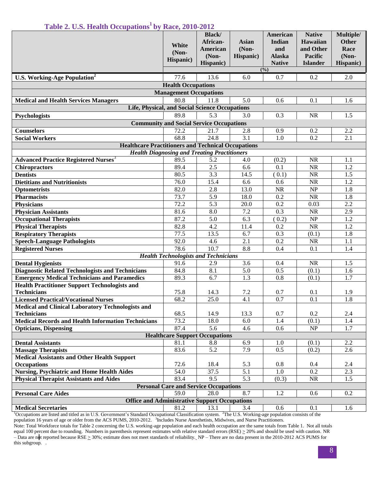|  |  |  | Table 2. U.S. Health Occupations <sup>1</sup> by Race, 2010-2012 |
|--|--|--|------------------------------------------------------------------|
|  |  |  |                                                                  |

|                                                                          | White<br>$(Non-$<br>Hispanic)                   | <b>Black</b> /<br>African-<br>American<br>(Non-<br>Hispanic) | <b>Asian</b><br>$(Non-$<br>Hispanic) | American<br>Indian<br>and<br><b>Alaska</b><br><b>Native</b> | <b>Native</b><br>Hawaiian<br>and Other<br>Pacific<br><b>Islander</b> | Multiple/<br>Other<br>Race<br>$(Non-$<br>Hispanic) |  |
|--------------------------------------------------------------------------|-------------------------------------------------|--------------------------------------------------------------|--------------------------------------|-------------------------------------------------------------|----------------------------------------------------------------------|----------------------------------------------------|--|
|                                                                          |                                                 |                                                              |                                      | (9/0)                                                       |                                                                      |                                                    |  |
| <b>U.S. Working-Age Population<sup>2</sup></b>                           | 77.6                                            | 13.6                                                         | 6.0                                  | 0.7                                                         | 0.2                                                                  | 2.0                                                |  |
|                                                                          | <b>Health Occupations</b>                       |                                                              |                                      |                                                             |                                                                      |                                                    |  |
| <b>Medical and Health Services Managers</b>                              | <b>Management Occupations</b><br>80.8           | 11.8                                                         | 5.0                                  |                                                             | 0.1                                                                  |                                                    |  |
| Life, Physical, and Social Science Occupations                           |                                                 |                                                              |                                      | 0.6                                                         |                                                                      | 1.6                                                |  |
|                                                                          | 89.8                                            | 5.3                                                          | 3.0                                  | 0.3                                                         | <b>NR</b>                                                            | 1.5                                                |  |
| Psychologists                                                            | <b>Community and Social Service Occupations</b> |                                                              |                                      |                                                             |                                                                      |                                                    |  |
| <b>Counselors</b>                                                        | 72.2                                            | 21.7                                                         | 2.8                                  | 0.9                                                         | 0.2                                                                  | 2.2                                                |  |
| <b>Social Workers</b>                                                    | 68.8                                            | 24.8                                                         | 3.1                                  | 1.0                                                         | 0.2                                                                  | 2.1                                                |  |
| <b>Healthcare Practitioners and Technical Occupations</b>                |                                                 |                                                              |                                      |                                                             |                                                                      |                                                    |  |
| <b>Health Diagnosing and Treating Practitioners</b>                      |                                                 |                                                              |                                      |                                                             |                                                                      |                                                    |  |
| <b>Advanced Practice Registered Nurses<sup>3</sup></b>                   | 89.5                                            | 5.2                                                          | 4.0                                  | (0.2)                                                       | NR                                                                   | 1.1                                                |  |
| <b>Chiropractors</b>                                                     | 89.4                                            | 2.5                                                          | 6.6                                  | 0.1                                                         | NR                                                                   | 1.2                                                |  |
| <b>Dentists</b>                                                          | 80.5                                            | 3.3                                                          | 14.5                                 | (0.1)                                                       | NR                                                                   | 1.5                                                |  |
| <b>Dietitians and Nutritionists</b>                                      | 76.0                                            | 15.4                                                         | 6.6                                  | 0.6                                                         | $\rm NR$                                                             | 1.2                                                |  |
| Optometrists                                                             | 82.0                                            | 2.8                                                          | 13.0                                 | NR                                                          | $\ensuremath{\mathbf{NP}}\xspace$                                    | 1.8                                                |  |
| <b>Pharmacists</b>                                                       | 73.7                                            | 5.9                                                          | 18.0                                 | 0.2                                                         | NR                                                                   | 1.8                                                |  |
| <b>Physicians</b>                                                        | 72.2                                            | 5.3                                                          | 20.0                                 | 0.2                                                         | 0.03                                                                 | 2.2                                                |  |
| <b>Physician Assistants</b>                                              | 81.6                                            | 8.0                                                          | $7.2\,$                              | 0.3                                                         | $\rm NR$                                                             | 2.9                                                |  |
| <b>Occupational Therapists</b>                                           | 87.2                                            | 5.0                                                          | 6.3                                  | (0.2)                                                       | $\ensuremath{\mathbf{NP}}\xspace$                                    | 1.2                                                |  |
| <b>Physical Therapists</b>                                               | 82.8                                            | 4.2                                                          | 11.4                                 | 0.2                                                         | NR                                                                   | 1.2                                                |  |
| <b>Respiratory Therapists</b>                                            | 77.5                                            | 13.5                                                         | 6.7                                  | 0.3                                                         | (0.1)                                                                | 1.8                                                |  |
| <b>Speech-Language Pathologists</b>                                      | 92.0                                            | 4.6                                                          | 2.1                                  | 0.2                                                         | NR                                                                   | 1.1                                                |  |
| <b>Registered Nurses</b>                                                 | 78.6                                            | 10.7                                                         | 8.8                                  | 0.4                                                         | 0.1                                                                  | 1.4                                                |  |
|                                                                          | <b>Health Technologists and Technicians</b>     |                                                              |                                      |                                                             |                                                                      |                                                    |  |
| <b>Dental Hygienists</b>                                                 | 91.6                                            | 2.9                                                          | 3.6                                  | 0.4                                                         | <b>NR</b>                                                            | 1.5                                                |  |
| <b>Diagnostic Related Technologists and Technicians</b>                  | 84.8                                            | 8.1                                                          | 5.0                                  | 0.5                                                         | (0.1)                                                                | 1.6                                                |  |
| <b>Emergency Medical Technicians and Paramedics</b>                      | 89.3                                            | 6.7                                                          | 1.3                                  | 0.8                                                         | (0.1)                                                                | 1.7                                                |  |
| <b>Health Practitioner Support Technologists and</b>                     |                                                 |                                                              |                                      |                                                             |                                                                      |                                                    |  |
| <b>Technicians</b>                                                       | 75.8                                            | 14.3                                                         | 7.2                                  | 0.7                                                         | 0.1                                                                  | 1.9                                                |  |
| <b>Licensed Practical/Vocational Nurses</b>                              | 68.2                                            | 25.0                                                         | $\overline{4.1}$                     | 0.7                                                         | 0.1                                                                  | 1.8                                                |  |
| <b>Medical and Clinical Laboratory Technologists and</b>                 |                                                 |                                                              |                                      |                                                             |                                                                      |                                                    |  |
| <b>Technicians</b>                                                       | 68.5                                            | 14.9                                                         | 13.3                                 | 0.7                                                         | 0.2                                                                  | 2.4                                                |  |
| <b>Medical Records and Health Information Technicians</b>                | 73.2                                            | 18.0                                                         | 6.0                                  | 1.4                                                         | (0.1)                                                                | 1.4                                                |  |
| <b>Opticians, Dispensing</b>                                             | 87.4                                            | 5.6                                                          | 4.6                                  | 0.6                                                         | $\overline{\text{NP}}$                                               | 1.7                                                |  |
| <b>Healthcare Support Occupations</b>                                    |                                                 |                                                              |                                      |                                                             |                                                                      |                                                    |  |
| <b>Dental Assistants</b>                                                 | 81.1                                            | 8.8                                                          | 6.9                                  | 1.0                                                         | (0.1)                                                                | 2.2                                                |  |
| <b>Massage Therapists</b>                                                | 83.6                                            | 5.2                                                          | 7.9                                  | 0.5                                                         | (0.2)                                                                | 2.6                                                |  |
| <b>Medical Assistants and Other Health Support</b><br><b>Occupations</b> | 72.6                                            | 18.4                                                         | 5.3                                  | 0.8                                                         | 0.4                                                                  | 2.4                                                |  |
| <b>Nursing, Psychiatric and Home Health Aides</b>                        | 54.0                                            | 37.5                                                         | 5.1                                  | 1.0                                                         | 0.2                                                                  | 2.3                                                |  |
| <b>Physical Therapist Assistants and Aides</b>                           | 83.4                                            | 9.5                                                          | 5.3                                  | (0.3)                                                       | NR                                                                   | 1.5                                                |  |
| <b>Personal Care and Service Occupations</b>                             |                                                 |                                                              |                                      |                                                             |                                                                      |                                                    |  |
| <b>Personal Care Aides</b>                                               | 59.0                                            | 28.0                                                         | 8.7                                  | 1.2                                                         | 0.6                                                                  | 0.2                                                |  |
| <b>Office and Administrative Support Occupations</b>                     |                                                 |                                                              |                                      |                                                             |                                                                      |                                                    |  |
| <b>Medical Secretaries</b>                                               | 81.2                                            | 13.1                                                         | 3.4                                  | 0.6                                                         | 0.1                                                                  | 1.6                                                |  |
|                                                                          |                                                 |                                                              |                                      |                                                             |                                                                      |                                                    |  |

<sup>1</sup>Occupations are listed and titled as in U.S. Government's Standard Occupational Classification system. <sup>2</sup>The U.S. Working-age population consists of the population 16 years of age or older from the ACS PUMS, 2010-2012. <sup>3</sup>Includes Nurse Anesthetists, Midwives, and Nurse Practitioners.

Note: Total Workforce totals for Table 2 concerning the U.S. working-age population and each health occupation are the same totals from Table 1. Not all totals equal 100 percent due to rounding. Numbers in parenthesis represent estimates with relative standard errors  $(RSE) \ge 20\%$  and should be used with caution. NR – Data are not reported because  $RSE \ge 30\%$ ; estimate does not meet standards of reliability. NP – There are no data present in the 2010-2012 ACS PUMS for this subgroup. .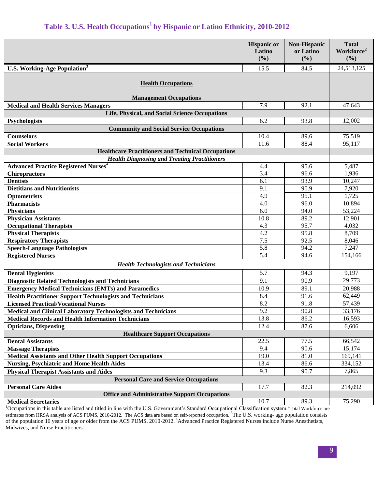# **Table 3. U.S. Health Occupations<sup>1</sup>by Hispanic or Latino Ethnicity, 2010-2012**

|                                                                                    | <b>Hispanic or</b><br>Latino<br>(%) | <b>Non-Hispanic</b><br>or Latino<br>(%) | <b>Total</b><br>Workforce <sup>2</sup><br>(%) |  |  |
|------------------------------------------------------------------------------------|-------------------------------------|-----------------------------------------|-----------------------------------------------|--|--|
| <b>U.S. Working-Age Population</b> <sup>3</sup>                                    | 15.5                                | 84.5                                    | 24,513,125                                    |  |  |
| <b>Health Occupations</b>                                                          |                                     |                                         |                                               |  |  |
| <b>Management Occupations</b>                                                      |                                     |                                         |                                               |  |  |
| <b>Medical and Health Services Managers</b>                                        | 7.9                                 | 92.1                                    | 47,643                                        |  |  |
| Life, Physical, and Social Science Occupations                                     |                                     |                                         |                                               |  |  |
| Psychologists                                                                      | 6.2                                 | 93.8                                    | 12,002                                        |  |  |
| <b>Community and Social Service Occupations</b>                                    |                                     |                                         |                                               |  |  |
| Counselors                                                                         | 10.4                                | 89.6                                    | 75,519                                        |  |  |
| <b>Social Workers</b>                                                              | 11.6                                | 88.4                                    | 95,117                                        |  |  |
| <b>Healthcare Practitioners and Technical Occupations</b>                          |                                     |                                         |                                               |  |  |
| <b>Health Diagnosing and Treating Practitioners</b>                                |                                     |                                         |                                               |  |  |
| <b>Advanced Practice Registered Nurses</b> <sup>4</sup>                            | 4.4                                 | 95.6<br>96.6                            | 5,487                                         |  |  |
| <b>Chiropractors</b><br><b>Dentists</b>                                            | 3.4<br>6.1                          | 93.9                                    | 1,936<br>10,247                               |  |  |
| <b>Dietitians and Nutritionists</b>                                                | 9.1                                 | 90.9                                    | 7,920                                         |  |  |
| Optometrists                                                                       | 4.9                                 | 95.1                                    | 1,725                                         |  |  |
| <b>Pharmacists</b>                                                                 | 4.0                                 | 96.0                                    | 10,894                                        |  |  |
| <b>Physicians</b>                                                                  | 6.0                                 | 94.0                                    | 53,224                                        |  |  |
| <b>Physician Assistants</b>                                                        | 10.8                                | 89.2                                    | 12,901                                        |  |  |
| <b>Occupational Therapists</b>                                                     | 4.3                                 | 95.7                                    | 4,032                                         |  |  |
| <b>Physical Therapists</b>                                                         | 4.2                                 | 95.8                                    | 8,709                                         |  |  |
| <b>Respiratory Therapists</b>                                                      | 7.5                                 | 92.5                                    | 8,046                                         |  |  |
| <b>Speech-Language Pathologists</b>                                                | 5.8                                 | 94.2                                    | 7,247                                         |  |  |
| <b>Registered Nurses</b>                                                           | 5.4                                 | 94.6                                    | 154,166                                       |  |  |
| <b>Health Technologists and Technicians</b>                                        |                                     |                                         |                                               |  |  |
| <b>Dental Hygienists</b>                                                           | 5.7                                 | 94.3                                    | 9,197                                         |  |  |
| <b>Diagnostic Related Technologists and Technicians</b>                            | 9.1                                 | 90.9                                    | 29,773                                        |  |  |
| <b>Emergency Medical Technicians (EMTs) and Paramedics</b>                         | 10.9                                | 89.1                                    | 20,988                                        |  |  |
| <b>Health Practitioner Support Technologists and Technicians</b>                   | 8.4                                 | 91.6                                    | 62,449                                        |  |  |
| <b>Licensed Practical/Vocational Nurses</b>                                        | 8.2                                 | 91.8                                    | 57,439                                        |  |  |
| <b>Medical and Clinical Laboratory Technologists and Technicians</b>               | 9.2                                 | 90.8                                    | 33,176                                        |  |  |
| <b>Medical Records and Health Information Technicians</b>                          | 13.8                                | 86.2                                    | 16,593                                        |  |  |
| <b>Opticians, Dispensing</b>                                                       | 12.4                                | 87.6                                    | 6,606                                         |  |  |
| <b>Healthcare Support Occupations</b>                                              |                                     |                                         |                                               |  |  |
| <b>Dental Assistants</b>                                                           | 22.5                                | 77.5                                    | 66,542                                        |  |  |
| <b>Massage Therapists</b>                                                          | 9.4                                 | $\frac{90.6}{90.6}$                     | 15,174                                        |  |  |
| <b>Medical Assistants and Other Health Support Occupations</b>                     | 19.0                                | 81.0                                    | 169,141                                       |  |  |
| <b>Nursing, Psychiatric and Home Health Aides</b>                                  | 13.4                                | 86.6                                    | 334,152                                       |  |  |
| <b>Physical Therapist Assistants and Aides</b>                                     | 9.3                                 | 90.7                                    | 7,865                                         |  |  |
| <b>Personal Care and Service Occupations</b>                                       |                                     |                                         |                                               |  |  |
| <b>Personal Care Aides</b><br><b>Office and Administrative Support Occupations</b> | 17.7                                | 82.3                                    | 214,092                                       |  |  |
| <b>Medical Secretaries</b>                                                         | 10.7                                | 89.3                                    | 75,290                                        |  |  |

<sup>1</sup>Occupations in this table are listed and titled in line with the U.S. Government's Standard Occupational Classification system.<sup>2</sup>Total Workforce are estimates from HRSA analysis of ACS PUMS, 2010-2012. The ACS data are based on self-reported occupation.<sup>3</sup>The U.S. working- age population consists of the population 16 years of age or older from the ACS PUMS, 2010-2012. <sup>4</sup>Advanced Practice Registered Nurses include Nurse Anesthetists, Midwives, and Nurse Practitioners.